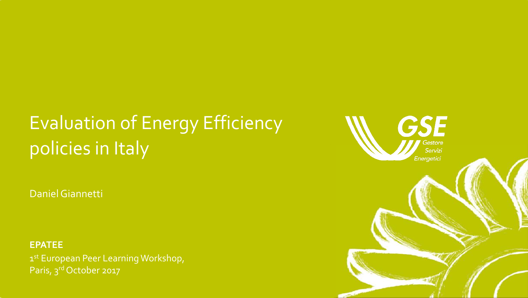# Evaluation of Energy Efficiency policies in Italy

Daniel Giannetti

**EPATEE** 1 st European Peer Learning Workshop, Paris, 3rd October 2017

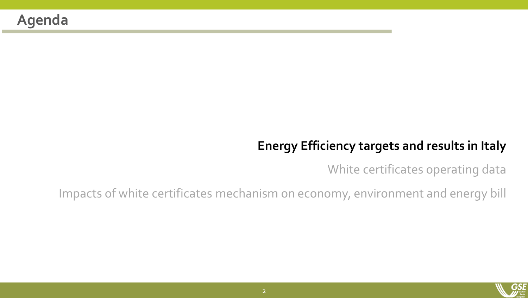#### **Energy Efficiency targets and results in Italy**

White certificates operating data

Impacts of white certificates mechanism on economy, environment and energy bill

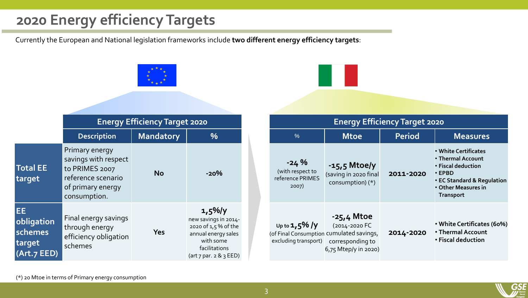### **2020 Energy efficiency Targets**

Currently the European and National legislation frameworks include **two different energy efficiency targets**:



| <b>Energy Efficiency Target 2020</b>                                                 |                                                                         |               |                                                                                                                                                          |  |  |
|--------------------------------------------------------------------------------------|-------------------------------------------------------------------------|---------------|----------------------------------------------------------------------------------------------------------------------------------------------------------|--|--|
| $\frac{0}{6}$                                                                        | <b>Mtoe</b>                                                             | <b>Period</b> | <b>Measures</b>                                                                                                                                          |  |  |
| $-24%$<br>(with respect to<br>reference PRIMES<br>2007)                              | $-15.5$ Mtoe/y<br>(saving in 2020 final<br>consumption) (*)             | 2011-2020     | • White Certificates<br>• Thermal Account<br>• Fiscal deduction<br>$\cdot$ EPBD<br>• EC Standard & Regulation<br>• Other Measures in<br><b>Transport</b> |  |  |
| Up to $1,5\%$ /y<br>(of Final Consumption cumulated savings,<br>excluding transport) | -25,4 Mtoe<br>(2014-2020 FC<br>corresponding to<br>6,75 Mtep/y in 2020) | 2014-2020     | • White Certificates (60%)<br>• Thermal Account<br>• Fiscal deduction                                                                                    |  |  |

(\*) 20 Mtoe in terms of Primary energy consumption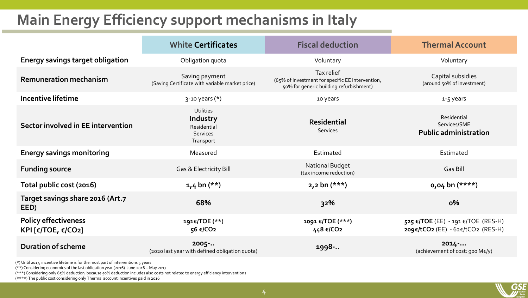### **Main Energy Efficiency support mechanisms in Italy**

|                                                          | <b>White Certificates</b>                                            | <b>Fiscal deduction</b>                                                                                   | <b>Thermal Account</b>                                                  |
|----------------------------------------------------------|----------------------------------------------------------------------|-----------------------------------------------------------------------------------------------------------|-------------------------------------------------------------------------|
| <b>Energy savings target obligation</b>                  | Obligation quota                                                     | Voluntary                                                                                                 | Voluntary                                                               |
| <b>Remuneration mechanism</b>                            | Saving payment<br>(Saving Certificate with variable market price)    | Tax relief<br>(65% of investment for specific EE intervention,<br>50% for generic building refurbishment) | Capital subsidies<br>(around 50% of investment)                         |
| Incentive lifetime                                       | $3-10$ years $(*)$                                                   | 10 years                                                                                                  | 1-5 years                                                               |
| Sector involved in EE intervention                       | <b>Utilities</b><br>Industry<br>Residential<br>Services<br>Transport | <b>Residential</b><br>Services                                                                            | Residential<br>Services/SME<br><b>Public administration</b>             |
| <b>Energy savings monitoring</b>                         | Measured                                                             | Estimated                                                                                                 | Estimated                                                               |
| <b>Funding source</b>                                    | Gas & Electricity Bill                                               | National Budget<br>(tax income reduction)                                                                 | Gas Bill                                                                |
| Total public cost (2016)                                 | $1,4$ bn $(**)$                                                      | $2,2$ bn $(***)$                                                                                          | $0,04$ bn $(****)$                                                      |
| Target savings share 2016 (Art.7<br>EED)                 | 68%                                                                  | 32%                                                                                                       | $0\%$                                                                   |
| <b>Policy effectiveness</b><br><b>KPI [€/TOE, €/CO2]</b> | 191€/TOE (**)<br>56 €/CO2                                            | 1091 €/TOE (***)<br>448 €/CO2                                                                             | 525 €/TOE (EE) - 191 €/TOE (RES-H)<br>209€/tCO2 (EE) - 62€/tCO2 (RES-H) |
| <b>Duration of scheme</b>                                | 2005<br>(2020 last year with defined obligation quota)               | 1998-                                                                                                     | 2014<br>(achievement of cost: 900 M€/y)                                 |

(\*) Until 2017, incentive lifetime is for the most part of interventions 5 years

(\*\*) Considering economics of the last obligation year (2016) June 2016 – May 2017

(\*\*\*) Considering only 65% deduction, because 50% deduction includes also costs not related to energy efficiency interventions

(\*\*\*\*) The public cost considering only Thermal account incentives paid in 2016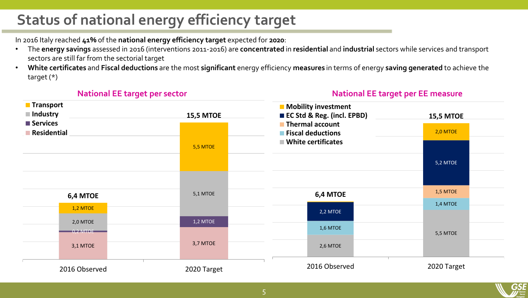## **Status of national energy efficiency target**

In 2016 Italy reached **41%** of the **national energy efficiency target** expected for **2020**:

- The **energy savings** assessed in 2016 (interventions 2011-2016) are **concentrated** in **residential** and **industrial** sectors while services and transport sectors are still far from the sectorial target
- **White certificates** and **Fiscal deductions** are the most **significant** energy efficiency **measures** in terms of energy **saving generated** to achieve the target (\*)

#### **National EE target per sector**

#### **National EE target per EE measure**

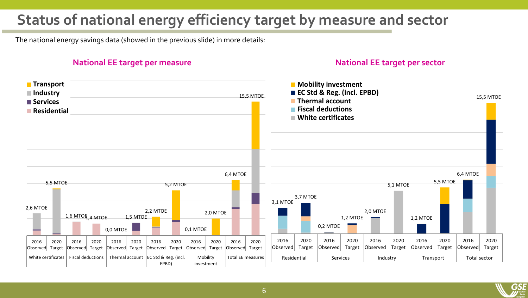### **Status of national energy efficiency target by measure and sector**

The national energy savings data (showed in the previous slide) in more details:

#### **National EE target per measure National EE target per sector**



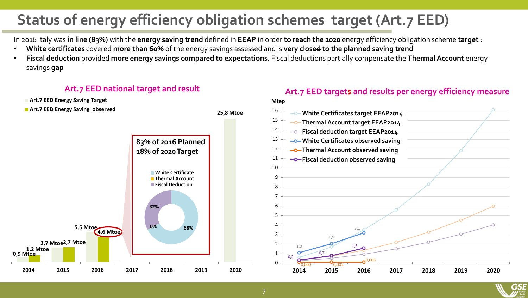## **Status of energy efficiency obligation schemes target (Art.7 EED)**

In 2016 Italy was **in line (83%)** with the **energy saving trend** defined in **EEAP** in order **to reach the 2020** energy efficiency obligation scheme **target** :

- **White certificates** covered **more than 60%** of the energy savings assessed and is **very closed to the planned saving trend**
- **Fiscal deduction** provided **more energy savings compared to expectations.** Fiscal deductions partially compensate the **Thermal Account** energy savings **gap**



#### **Art.7 EED national target and result Art.7 EED targets and results per energy efficiency measure**

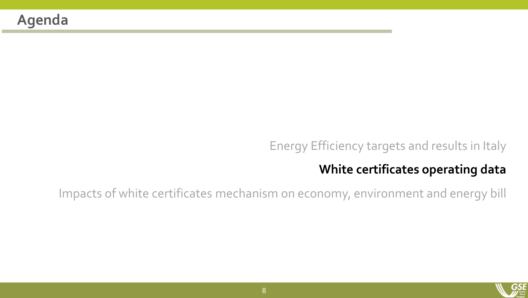#### Energy Efficiency targets and results in Italy

#### **White certificates operating data**

Impacts of white certificates mechanism on economy, environment and energy bill

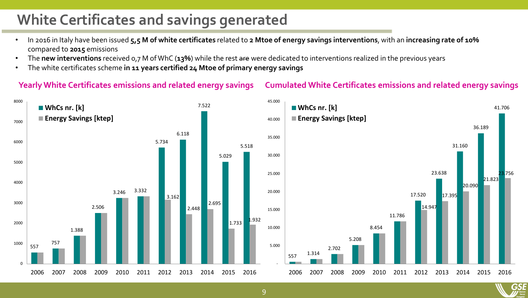### **White Certificates and savings generated**

- In 2016 in Italy have been issued **5,5 M of white certificates** related to **2 Mtoe of energy savings interventions**, with an **increasing rate of 10%**  compared to **2015** emissions
- The **new interventions** received 0,7 M of WhC (**13%**) while the rest are were dedicated to interventions realized in the previous years
- The white certificates scheme **in 11 years certified 24 Mtoe of primary energy savings**

#### **Yearly White Certificates emissions and related energy savings Cumulated White Certificates emissions and related energy savings**



9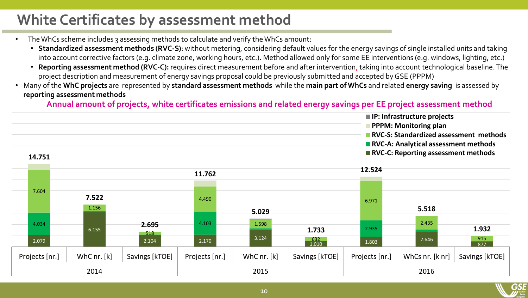### **White Certificates by assessment method**

- The WhCs scheme includes 3 assessing methods to calculate and verify the WhCs amount:
	- **Standardized assessment methods (RVC-S)**: without metering, considering default values for the energy savings of single installed units and taking into account corrective factors (e.g. climate zone, working hours, etc.). Method allowed only for some EE interventions (e.g. windows, lighting, etc.)
	- **Reporting assessment method (RVC-C):** requires direct measurement before and after intervention, taking into account technological baseline. The project description and measurement of energy savings proposal could be previously submitted and accepted by GSE (PPPM)
- Many of the **WhC projects** are represented by **standard assessment methods** while the **main part of WhCs** and related **energy saving** is assessed by **reporting assessment methods**

**Annual amount of projects, white certificates emissions and related energy savings per EE project assessment method** 

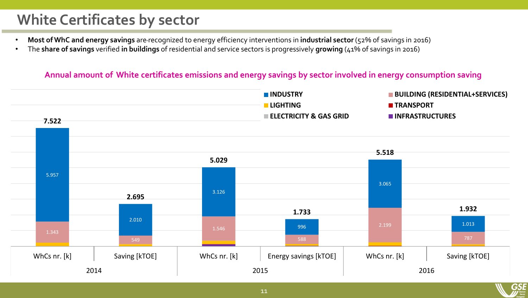### **White Certificates by sector**

- **Most of WhC and energy savings** are recognized to energy efficiency interventions in **industrial sector** (52% of savings in 2016)
- The **share of savings** verified **in buildings** of residential and service sectors is progressively **growing** (41% of savings in 2016)

#### **Annual amount of White certificates emissions and energy savings by sector involved in energy consumption saving**

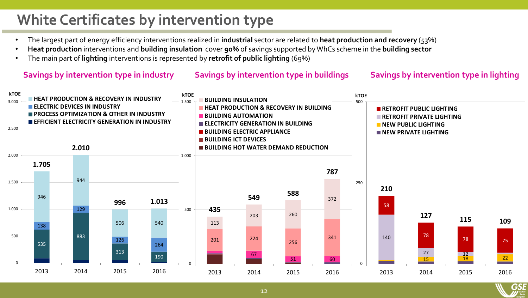## **White Certificates by intervention type**

- The largest part of energy efficiency interventions realized in **industrial** sector are related to **heat production and recovery** (53%)
- **Heat production** interventions and **building insulation** cover **90%** of savings supported by WhCs scheme in the **building sector**
- The main part of **lighting** interventions is represented by **retrofit of public lighting** (69%)

#### **Savings by intervention type in industry Savings by intervention type in buildings Savings by intervention type in lighting**



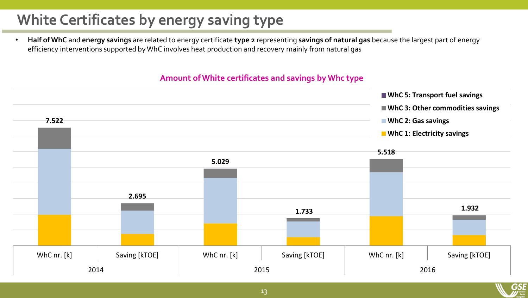## **White Certificates by energy saving type**

• **Half of WhC** and **energy savings** are related to energy certificate **type 2** representing **savings of natural gas** because the largest part of energy efficiency interventions supported by WhC involves heat production and recovery mainly from natural gas

#### **Amount of White certificates and savings by Whc type**

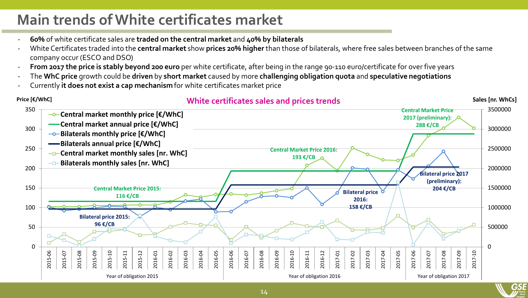### **Main trends of White certificates market**

- **60%** of white certificate sales are **traded on the central market** and **40% by bilaterals**
- White Certificates traded into the **central market** show **prices 20% higher** than those of bilaterals, where free sales between branches of the same company occur (ESCO and DSO)
- **From 2017 the price is stably beyond 200 euro** per white certificate, after being in the range 90-110 euro/certificate for over five years
- The **WhC price** growth could be **driven** by **short market** caused by more **challenging obligation quota** and **speculative negotiations**
- Currently **it does not exist a cap mechanism** for white certificates market price

#### Price [€/WhC] sales [nr. Whome white certificates sales and prices trends sales mediation of the sales [nr. WhCs] 0 500000 1000000 1500000 2000000 2500000 3000000 3500000 0 50 100 150 200 250 300 350 2015-06 2015-07 2015-08 2015-09 2015-10 2015-11 2015-12 2016-01 2016-02 2016-03 2016-04 2016-05 2016-06 2016-07 2016-08 2016-09 2016-10 2016-11 2016-12 2017-01 2017-02 2017-03 2017-04 2017-05 2017-06 2017-07 2017-08 2017-09 2017-10 Year of obligation 2015 Year of obligation 2016 Year of obligation 2017 **Central market monthly price [€/WhC] Central market annual price [€/WhC] Bilaterals monthly price [€/WhC] Bilaterals annual price [€/WhC] -D-Central market monthly sales [nr. WhC] Bilaterals monthly sales [nr. WhC] Central Market Price 2015: 116 €/CB Central Market Price 2016: 193 €/CB Central Market Price 2017 (preliminary): 288 €/CB Bilateral price 2015: 96 €/CB Bilateral price 2016: 158 €/CB Bilateral price 2017 (preliminary): 204 €/CB**

14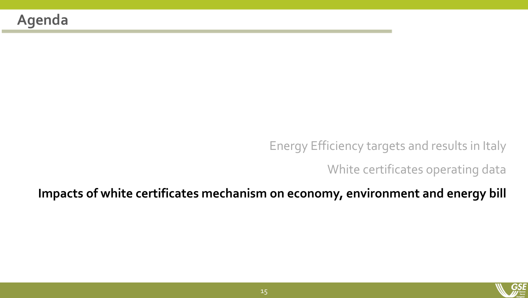Energy Efficiency targets and results in Italy

White certificates operating data

**Impacts of white certificates mechanism on economy, environment and energy bill**

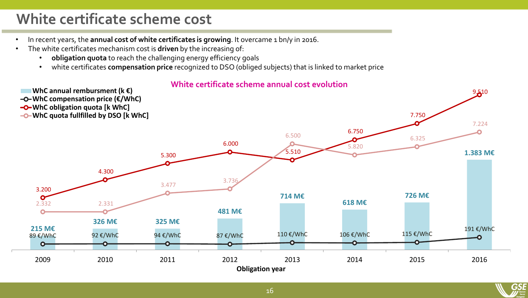### **White certificate scheme cost**

- In recent years, the **annual cost of white certificates is growing**. It overcame 1 bn/y in 2016.
- The white certificates mechanism cost is **driven** by the increasing of:
	- **obligation quota** to reach the challenging energy efficiency goals
	- white certificates **compensation price** recognized to DSO (obliged subjects) that is linked to market price

**White certificate scheme annual cost evolution**



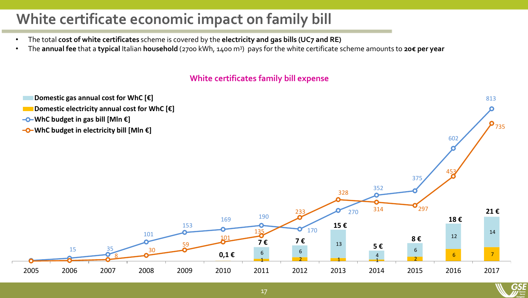### **White certificate economic impact on family bill**

- The total **cost of white certificates** scheme is covered by the **electricity and gas bills (UC7 and RE)**
- The **annual fee** that a **typical** Italian **household** (2700 kWh, 1400 m<sup>3</sup> ) pays for the white certificate scheme amounts to **20€ per year**

#### **White certificates family bill expense**



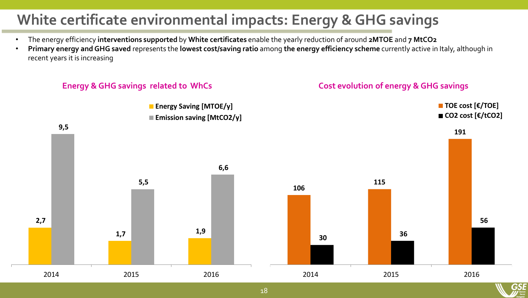## **White certificate environmental impacts: Energy & GHG savings**

- The energy efficiency **interventions supported** by **White certificates** enable the yearly reduction of around **2MTOE** and **7 MtCO2**
- **Primary energy and GHG saved** represents the **lowest cost/saving ratio** among **the energy efficiency scheme** currently active in Italy, although in recent years it is increasing

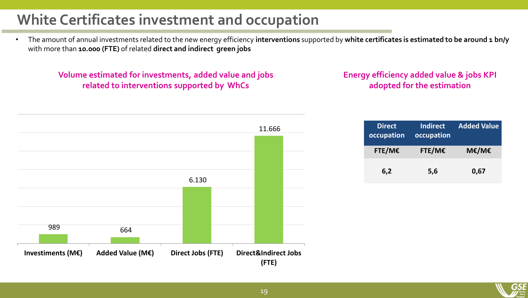### **White Certificates investment and occupation**

• The amount of annual investments related to the new energy efficiency interventions supported by white certificates is estimated to be around 1 bn/y with more than **10.000 (FTE)** of related **direct and indirect green jobs**

**Volume estimated for investments, added value and jobs related to interventions supported by WhCs**

#### **Energy efficiency added value & jobs KPI adopted for the estimation**



| <b>Direct</b><br>occupation | Indirect<br>occupation | <b>Added Value</b> |
|-----------------------------|------------------------|--------------------|
| FTE/ME                      | FTE/ME                 | M€/M€              |
| 6,2                         | 5,6                    | 0,67               |